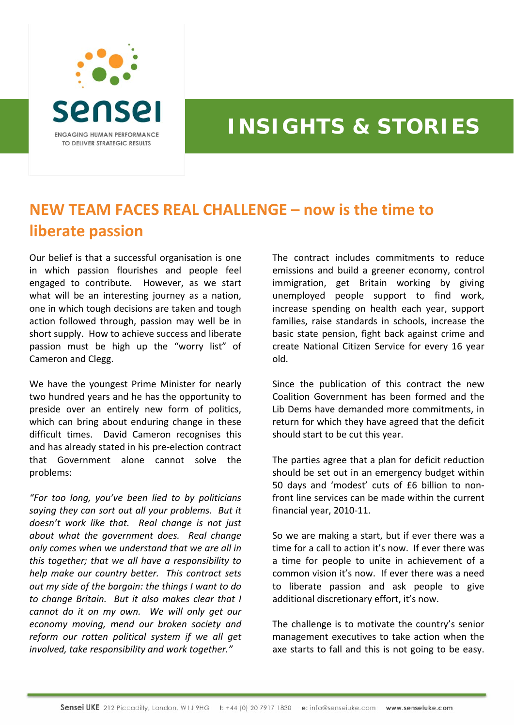

## **INSIGHTS & STORIES**

## **NEW TEAM FACES REAL CHALLENGE – now is the time to liberate passion**

Our belief is that a successful organisation is one in which passion flourishes and people feel engaged to contribute. However, as we start what will be an interesting journey as a nation, one in which tough decisions are taken and tough action followed through, passion may well be in short supply. How to achieve success and liberate passion must be high up the "worry list" of Cameron and Clegg.

We have the youngest Prime Minister for nearly two hundred years and he has the opportunity to preside over an entirely new form of politics, which can bring about enduring change in these difficult times. David Cameron recognises this and has already stated in his pre‐election contract that Government alone cannot solve the problems:

*"For too long, you've been lied to by politicians saying they can sort out all your problems. But it doesn't work like that. Real change is not just about what the government does. Real change only comes when we understand that we are all in this together; that we all have a responsibility to help make our country better. This contract sets out my side of the bargain: the things I want to do to change Britain. But it also makes clear that I cannot do it on my own. We will only get our economy moving, mend our broken society and reform our rotten political system if we all get involved, take responsibility and work together."*

The contract includes commitments to reduce emissions and build a greener economy, control immigration, get Britain working by giving unemployed people support to find work, increase spending on health each year, support families, raise standards in schools, increase the basic state pension, fight back against crime and create National Citizen Service for every 16 year old.

Since the publication of this contract the new Coalition Government has been formed and the Lib Dems have demanded more commitments, in return for which they have agreed that the deficit should start to be cut this year.

The parties agree that a plan for deficit reduction should be set out in an emergency budget within 50 days and 'modest' cuts of £6 billion to non‐ front line services can be made within the current financial year, 2010‐11.

So we are making a start, but if ever there was a time for a call to action it's now. If ever there was a time for people to unite in achievement of a common vision it's now. If ever there was a need to liberate passion and ask people to give additional discretionary effort, it's now.

The challenge is to motivate the country's senior management executives to take action when the axe starts to fall and this is not going to be easy.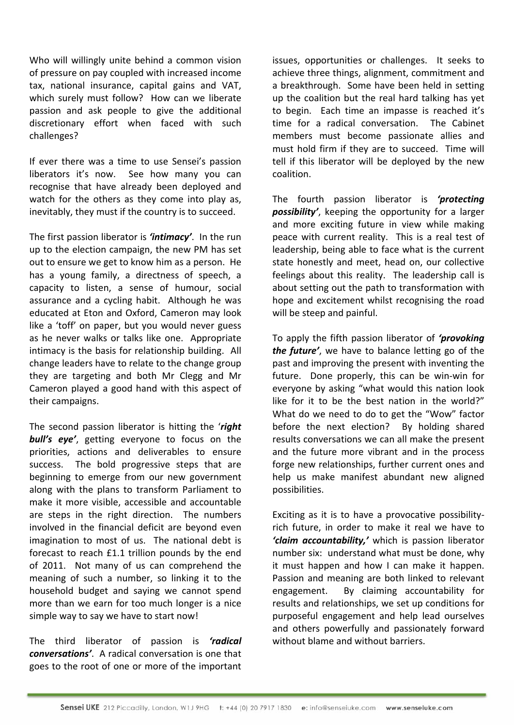Who will willingly unite behind a common vision of pressure on pay coupled with increased income tax, national insurance, capital gains and VAT, which surely must follow? How can we liberate passion and ask people to give the additional discretionary effort when faced with such challenges?

If ever there was a time to use Sensei's passion liberators it's now. See how many you can recognise that have already been deployed and watch for the others as they come into play as, inevitably, they must if the country is to succeed.

The first passion liberator is *'intimacy'*. In the run up to the election campaign, the new PM has set out to ensure we get to know him as a person. He has a young family, a directness of speech, a capacity to listen, a sense of humour, social assurance and a cycling habit. Although he was educated at Eton and Oxford, Cameron may look like a 'toff' on paper, but you would never guess as he never walks or talks like one. Appropriate intimacy is the basis for relationship building. All change leaders have to relate to the change group they are targeting and both Mr Clegg and Mr Cameron played a good hand with this aspect of their campaigns.

The second passion liberator is hitting the '*right bull's eye'*, getting everyone to focus on the priorities, actions and deliverables to ensure success. The bold progressive steps that are beginning to emerge from our new government along with the plans to transform Parliament to make it more visible, accessible and accountable are steps in the right direction. The numbers involved in the financial deficit are beyond even imagination to most of us. The national debt is forecast to reach £1.1 trillion pounds by the end of 2011. Not many of us can comprehend the meaning of such a number, so linking it to the household budget and saying we cannot spend more than we earn for too much longer is a nice simple way to say we have to start now!

The third liberator of passion is *'radical conversations'*. A radical conversation is one that goes to the root of one or more of the important issues, opportunities or challenges. It seeks to achieve three things, alignment, commitment and a breakthrough. Some have been held in setting up the coalition but the real hard talking has yet to begin. Each time an impasse is reached it's time for a radical conversation. The Cabinet members must become passionate allies and must hold firm if they are to succeed. Time will tell if this liberator will be deployed by the new coalition.

The fourth passion liberator is *'protecting possibility'*, keeping the opportunity for a larger and more exciting future in view while making peace with current reality. This is a real test of leadership, being able to face what is the current state honestly and meet, head on, our collective feelings about this reality. The leadership call is about setting out the path to transformation with hope and excitement whilst recognising the road will be steep and painful.

To apply the fifth passion liberator of *'provoking the future'*, we have to balance letting go of the past and improving the present with inventing the future. Done properly, this can be win-win for everyone by asking "what would this nation look like for it to be the best nation in the world?" What do we need to do to get the "Wow" factor before the next election? By holding shared results conversations we can all make the present and the future more vibrant and in the process forge new relationships, further current ones and help us make manifest abundant new aligned possibilities.

Exciting as it is to have a provocative possibility‐ rich future, in order to make it real we have to *'claim accountability,'* which is passion liberator number six: understand what must be done, why it must happen and how I can make it happen. Passion and meaning are both linked to relevant engagement. By claiming accountability for results and relationships, we set up conditions for purposeful engagement and help lead ourselves and others powerfully and passionately forward without blame and without barriers.